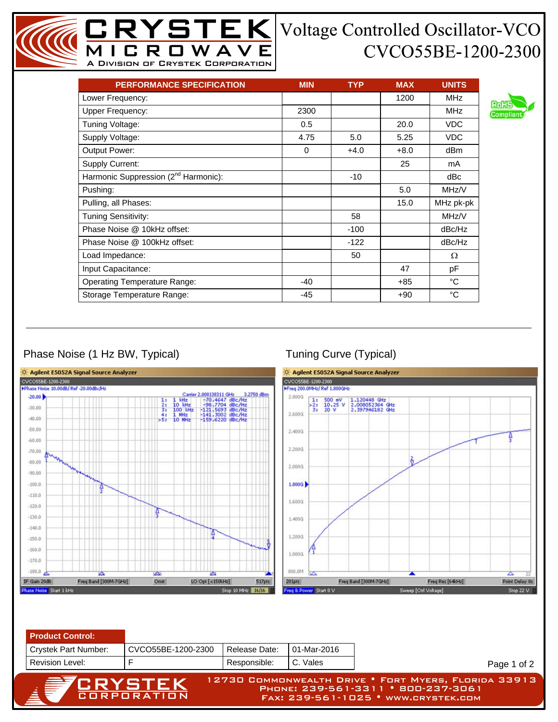## CVCO55BE-1200-2300

| <b>PERFORMANCE SPECIFICATION</b>                 | <b>MIN</b> | <b>TYP</b> | <b>MAX</b> | <b>UNITS</b> |
|--------------------------------------------------|------------|------------|------------|--------------|
| Lower Frequency:                                 |            |            | 1200       | <b>MHz</b>   |
| <b>Upper Frequency:</b>                          | 2300       |            |            | MHz          |
| Tuning Voltage:                                  | 0.5        |            | 20.0       | VDC.         |
| Supply Voltage:                                  | 4.75       | 5.0        | 5.25       | <b>VDC</b>   |
| Output Power:                                    | $\Omega$   | $+4.0$     | $+8.0$     | dBm          |
| <b>Supply Current:</b>                           |            |            | 25         | mA           |
| Harmonic Suppression (2 <sup>nd</sup> Harmonic): |            | $-10$      |            | dBc          |
| Pushing:                                         |            |            | 5.0        | MHz/V        |
| Pulling, all Phases:                             |            |            | 15.0       | MHz pk-pk    |
| Tuning Sensitivity:                              |            | 58         |            | MHz/V        |
| Phase Noise @ 10kHz offset:                      |            | $-100$     |            | dBc/Hz       |
| Phase Noise @ 100kHz offset:                     |            | $-122$     |            | dBc/Hz       |
| Load Impedance:                                  |            | 50         |            | Ω            |
| Input Capacitance:                               |            |            | 47         | pF           |
| <b>Operating Temperature Range:</b>              | $-40$      |            | $+85$      | °C           |
| Storage Temperature Range:                       | $-45$      |            | $+90$      | °C           |

MICROWAVE A Division of Crystek Corporation

## Phase Noise (1 Hz BW, Typical) Tuning Curve (Typical)



Page 1 of 2



12730 Commonwealth Drive • Fort Myers, Florida 33913 Phone: 239-561-3311 • 800-237-3061 Fax: 239-561-1025 • www.crystek.com